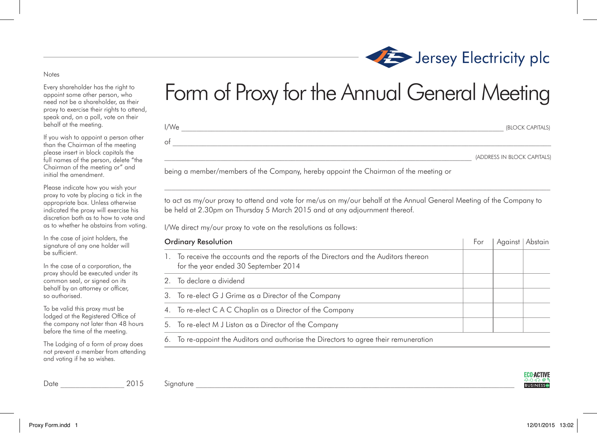## Form of Proxy for the Annual General Meeting

| I/We | (BLOCK CAPITALS) |                             |  |
|------|------------------|-----------------------------|--|
| of   |                  |                             |  |
|      |                  | (ADDRESS IN BLOCK CAPITALS) |  |

being a member/members of the Company, hereby appoint the Chairman of the meeting or

to act as my/our proxy to attend and vote for me/us on my/our behalf at the Annual General Meeting of the Company to be held at 2.30pm on Thursday 5 March 2015 and at any adjournment thereof.

 $\mathcal{L}_\text{max}$ 

I/We direct my/our proxy to vote on the resolutions as follows:

| <b>Ordinary Resolution</b> |                                                                                                                           | For | Against | Abstain |
|----------------------------|---------------------------------------------------------------------------------------------------------------------------|-----|---------|---------|
| $\mathbf{L}$               | To receive the accounts and the reports of the Directors and the Auditors thereon<br>for the year ended 30 September 2014 |     |         |         |
|                            | 2. To declare a dividend                                                                                                  |     |         |         |
|                            | 3. To re-elect G J Grime as a Director of the Company                                                                     |     |         |         |
|                            | 4. To re-elect C A C Chaplin as a Director of the Company                                                                 |     |         |         |
|                            | 5. To re-elect M J Liston as a Director of the Company                                                                    |     |         |         |
|                            | 6. To re-appoint the Auditors and authorise the Directors to agree their remuneration                                     |     |         |         |

**ECO-ACTIVE BUSINESS®** 



## Notes

Every shareholder has the right to appoint some other person, who need not be a shareholder, as their proxy to exercise their rights to attend, speak and, on a poll, vote on their behalf at the meeting.

If you wish to appoint a person other than the Chairman of the meeting please insert in block capitals the full names of the person, delete "the Chairman of the meeting or" and initial the amendment.

Please indicate how you wish your proxy to vote by placing a tick in the appropriate box. Unless otherwise indicated the proxy will exercise his discretion both as to how to vote and as to whether he abstains from voting.

In the case of joint holders, the signature of any one holder will be sufficient.

In the case of a corporation, the proxy should be executed under its common seal, or signed on its behalf by an attorney or officer, so authorised.

To be valid this proxy must be lodged at the Registered Office of the company not later than 48 hours before the time of the meeting.

The Lodging of a form of proxy does not prevent a member from attending and voting if he so wishes.